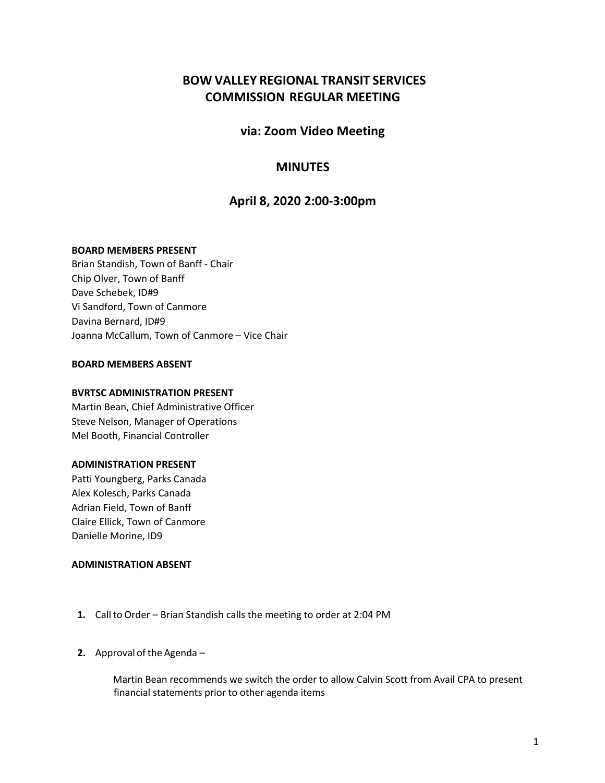# **BOW VALLEY REGIONAL TRANSIT SERVICES COMMISSION REGULAR MEETING**

## **via: Zoom Video Meeting**

## **MINUTES**

## **April 8, 2020 2:00-3:00pm**

## **BOARD MEMBERS PRESENT**

Brian Standish, Town of Banff - Chair Chip Olver, Town of Banff Dave Schebek, ID#9 Vi Sandford, Town of Canmore Davina Bernard, ID#9 Joanna McCallum, Town of Canmore – Vice Chair

## **BOARD MEMBERS ABSENT**

#### **BVRTSC ADMINISTRATION PRESENT**

Martin Bean, Chief Administrative Officer Steve Nelson, Manager of Operations Mel Booth, Financial Controller

## **ADMINISTRATION PRESENT**

Patti Youngberg, Parks Canada Alex Kolesch, Parks Canada Adrian Field, Town of Banff Claire Ellick, Town of Canmore Danielle Morine, ID9

## **ADMINISTRATION ABSENT**

- **1.** Callto Order Brian Standish calls the meeting to order at 2:04 PM
- **2.** Approval of the Agenda –

Martin Bean recommends we switch the order to allow Calvin Scott from Avail CPA to present financial statements prior to other agenda items